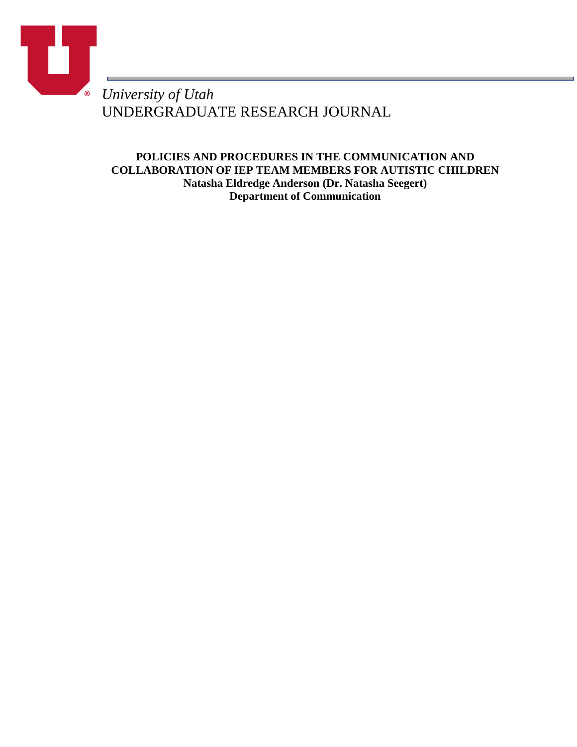

UNDERGRADUATE RESEARCH JOURNAL

**POLICIES AND PROCEDURES IN THE COMMUNICATION AND COLLABORATION OF IEP TEAM MEMBERS FOR AUTISTIC CHILDREN Natasha Eldredge Anderson (Dr. Natasha Seegert) Department of Communication**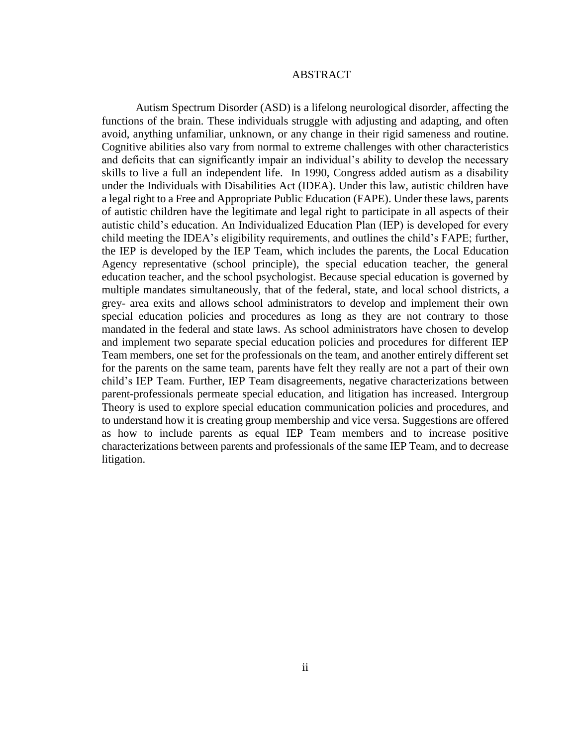## ABSTRACT

Autism Spectrum Disorder (ASD) is a lifelong neurological disorder, affecting the functions of the brain. These individuals struggle with adjusting and adapting, and often avoid, anything unfamiliar, unknown, or any change in their rigid sameness and routine. Cognitive abilities also vary from normal to extreme challenges with other characteristics and deficits that can significantly impair an individual's ability to develop the necessary skills to live a full an independent life. In 1990, Congress added autism as a disability under the Individuals with Disabilities Act (IDEA). Under this law, autistic children have a legal right to a Free and Appropriate Public Education (FAPE). Under these laws, parents of autistic children have the legitimate and legal right to participate in all aspects of their autistic child's education. An Individualized Education Plan (IEP) is developed for every child meeting the IDEA's eligibility requirements, and outlines the child's FAPE; further, the IEP is developed by the IEP Team, which includes the parents, the Local Education Agency representative (school principle), the special education teacher, the general education teacher, and the school psychologist. Because special education is governed by multiple mandates simultaneously, that of the federal, state, and local school districts, a grey- area exits and allows school administrators to develop and implement their own special education policies and procedures as long as they are not contrary to those mandated in the federal and state laws. As school administrators have chosen to develop and implement two separate special education policies and procedures for different IEP Team members, one set for the professionals on the team, and another entirely different set for the parents on the same team, parents have felt they really are not a part of their own child's IEP Team. Further, IEP Team disagreements, negative characterizations between parent-professionals permeate special education, and litigation has increased. Intergroup Theory is used to explore special education communication policies and procedures, and to understand how it is creating group membership and vice versa. Suggestions are offered as how to include parents as equal IEP Team members and to increase positive characterizations between parents and professionals of the same IEP Team, and to decrease litigation.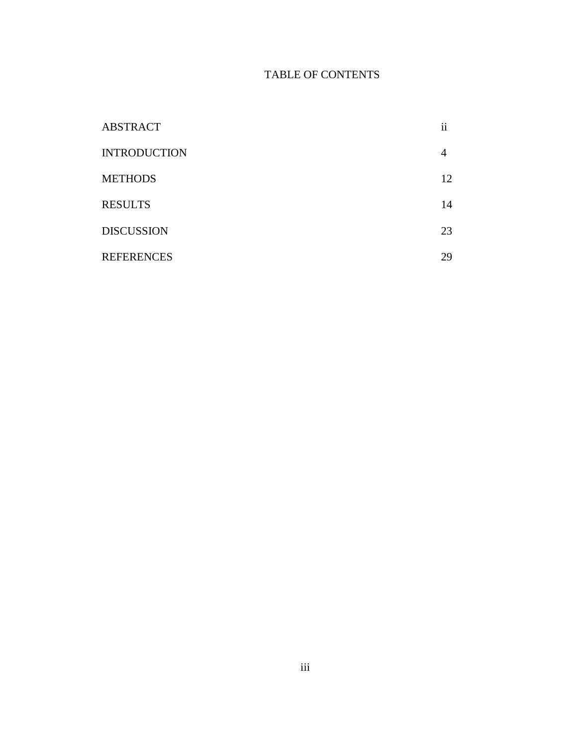# TABLE OF CONTENTS

| <b>ABSTRACT</b>     | $\ddotsc$<br>11 |
|---------------------|-----------------|
| <b>INTRODUCTION</b> | 4               |
| <b>METHODS</b>      | 12              |
| <b>RESULTS</b>      | 14              |
| <b>DISCUSSION</b>   | 23              |
| <b>REFERENCES</b>   | 29              |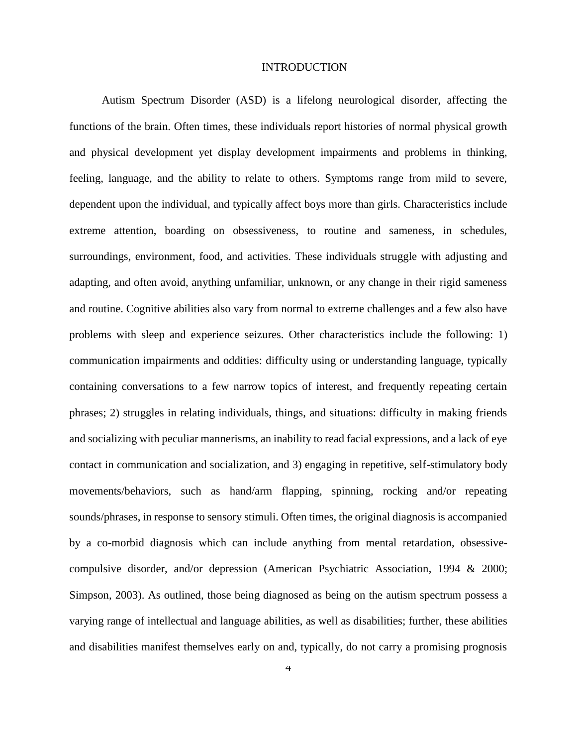### INTRODUCTION

Autism Spectrum Disorder (ASD) is a lifelong neurological disorder, affecting the functions of the brain. Often times, these individuals report histories of normal physical growth and physical development yet display development impairments and problems in thinking, feeling, language, and the ability to relate to others. Symptoms range from mild to severe, dependent upon the individual, and typically affect boys more than girls. Characteristics include extreme attention, boarding on obsessiveness, to routine and sameness, in schedules, surroundings, environment, food, and activities. These individuals struggle with adjusting and adapting, and often avoid, anything unfamiliar, unknown, or any change in their rigid sameness and routine. Cognitive abilities also vary from normal to extreme challenges and a few also have problems with sleep and experience seizures. Other characteristics include the following: 1) communication impairments and oddities: difficulty using or understanding language, typically containing conversations to a few narrow topics of interest, and frequently repeating certain phrases; 2) struggles in relating individuals, things, and situations: difficulty in making friends and socializing with peculiar mannerisms, an inability to read facial expressions, and a lack of eye contact in communication and socialization, and 3) engaging in repetitive, self-stimulatory body movements/behaviors, such as hand/arm flapping, spinning, rocking and/or repeating sounds/phrases, in response to sensory stimuli. Often times, the original diagnosis is accompanied by a co-morbid diagnosis which can include anything from mental retardation, obsessivecompulsive disorder, and/or depression (American Psychiatric Association, 1994 & 2000; Simpson, 2003). As outlined, those being diagnosed as being on the autism spectrum possess a varying range of intellectual and language abilities, as well as disabilities; further, these abilities and disabilities manifest themselves early on and, typically, do not carry a promising prognosis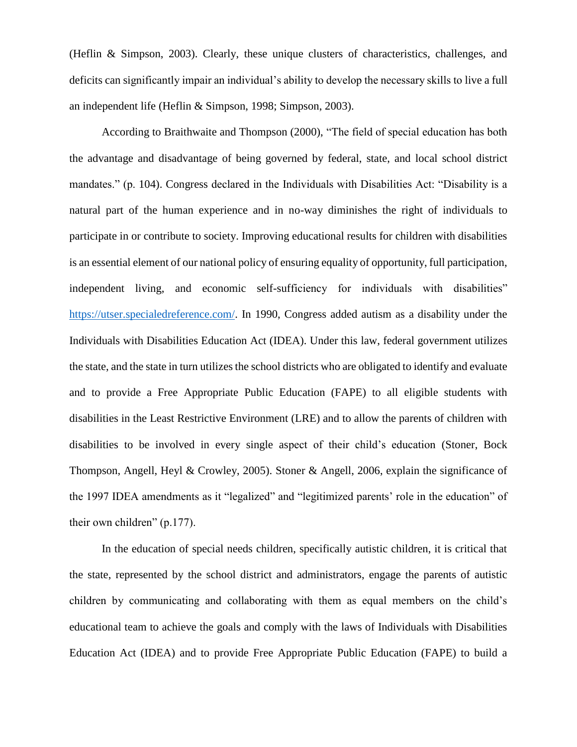(Heflin & Simpson, 2003). Clearly, these unique clusters of characteristics, challenges, and deficits can significantly impair an individual's ability to develop the necessary skills to live a full an independent life (Heflin & Simpson, 1998; Simpson, 2003).

According to Braithwaite and Thompson (2000), "The field of special education has both the advantage and disadvantage of being governed by federal, state, and local school district mandates." (p. 104). Congress declared in the Individuals with Disabilities Act: "Disability is a natural part of the human experience and in no-way diminishes the right of individuals to participate in or contribute to society. Improving educational results for children with disabilities is an essential element of our national policy of ensuring equality of opportunity, full participation, independent living, and economic self-sufficiency for individuals with disabilities" [https://utser.specialedreference.com/.](https://utser.specialedreference.com/) In 1990, Congress added autism as a disability under the Individuals with Disabilities Education Act (IDEA). Under this law, federal government utilizes the state, and the state in turn utilizes the school districts who are obligated to identify and evaluate and to provide a Free Appropriate Public Education (FAPE) to all eligible students with disabilities in the Least Restrictive Environment (LRE) and to allow the parents of children with disabilities to be involved in every single aspect of their child's education (Stoner, Bock Thompson, Angell, Heyl & Crowley, 2005). Stoner & Angell, 2006, explain the significance of the 1997 IDEA amendments as it "legalized" and "legitimized parents' role in the education" of their own children" (p.177).

In the education of special needs children, specifically autistic children, it is critical that the state, represented by the school district and administrators, engage the parents of autistic children by communicating and collaborating with them as equal members on the child's educational team to achieve the goals and comply with the laws of Individuals with Disabilities Education Act (IDEA) and to provide Free Appropriate Public Education (FAPE) to build a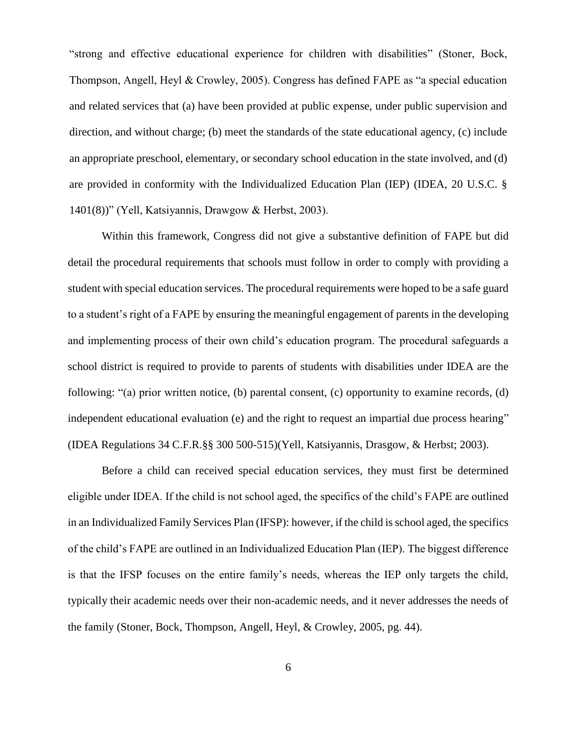"strong and effective educational experience for children with disabilities" (Stoner, Bock, Thompson, Angell, Heyl & Crowley, 2005). Congress has defined FAPE as "a special education and related services that (a) have been provided at public expense, under public supervision and direction, and without charge; (b) meet the standards of the state educational agency, (c) include an appropriate preschool, elementary, or secondary school education in the state involved, and (d) are provided in conformity with the Individualized Education Plan (IEP) (IDEA, 20 U.S.C. § 1401(8))" (Yell, Katsiyannis, Drawgow & Herbst, 2003).

Within this framework, Congress did not give a substantive definition of FAPE but did detail the procedural requirements that schools must follow in order to comply with providing a student with special education services. The procedural requirements were hoped to be a safe guard to a student's right of a FAPE by ensuring the meaningful engagement of parents in the developing and implementing process of their own child's education program. The procedural safeguards a school district is required to provide to parents of students with disabilities under IDEA are the following: "(a) prior written notice, (b) parental consent, (c) opportunity to examine records, (d) independent educational evaluation (e) and the right to request an impartial due process hearing" (IDEA Regulations 34 C.F.R.§§ 300 500-515)(Yell, Katsiyannis, Drasgow, & Herbst; 2003).

Before a child can received special education services, they must first be determined eligible under IDEA. If the child is not school aged, the specifics of the child's FAPE are outlined in an Individualized Family Services Plan (IFSP): however, if the child is school aged, the specifics of the child's FAPE are outlined in an Individualized Education Plan (IEP). The biggest difference is that the IFSP focuses on the entire family's needs, whereas the IEP only targets the child, typically their academic needs over their non-academic needs, and it never addresses the needs of the family (Stoner, Bock, Thompson, Angell, Heyl, & Crowley, 2005, pg. 44).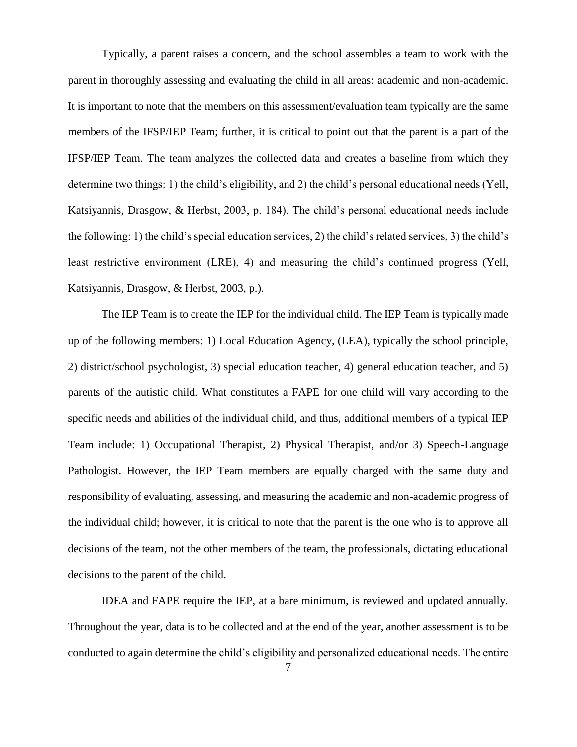Typically, a parent raises a concern, and the school assembles a team to work with the parent in thoroughly assessing and evaluating the child in all areas: academic and non-academic. It is important to note that the members on this assessment/evaluation team typically are the same members of the IFSP/IEP Team; further, it is critical to point out that the parent is a part of the IFSP/IEP Team. The team analyzes the collected data and creates a baseline from which they determine two things: 1) the child's eligibility, and 2) the child's personal educational needs (Yell, Katsiyannis, Drasgow, & Herbst, 2003, p. 184). The child's personal educational needs include the following: 1) the child's special education services, 2) the child's related services, 3) the child's least restrictive environment (LRE), 4) and measuring the child's continued progress (Yell, Katsiyannis, Drasgow, & Herbst, 2003, p.).

The IEP Team is to create the IEP for the individual child. The IEP Team is typically made up of the following members: 1) Local Education Agency, (LEA), typically the school principle, 2) district/school psychologist, 3) special education teacher, 4) general education teacher, and 5) parents of the autistic child. What constitutes a FAPE for one child will vary according to the specific needs and abilities of the individual child, and thus, additional members of a typical IEP Team include: 1) Occupational Therapist, 2) Physical Therapist, and/or 3) Speech-Language Pathologist. However, the IEP Team members are equally charged with the same duty and responsibility of evaluating, assessing, and measuring the academic and non-academic progress of the individual child; however, it is critical to note that the parent is the one who is to approve all decisions of the team, not the other members of the team, the professionals, dictating educational decisions to the parent of the child.

IDEA and FAPE require the IEP, at a bare minimum, is reviewed and updated annually. Throughout the year, data is to be collected and at the end of the year, another assessment is to be conducted to again determine the child's eligibility and personalized educational needs. The entire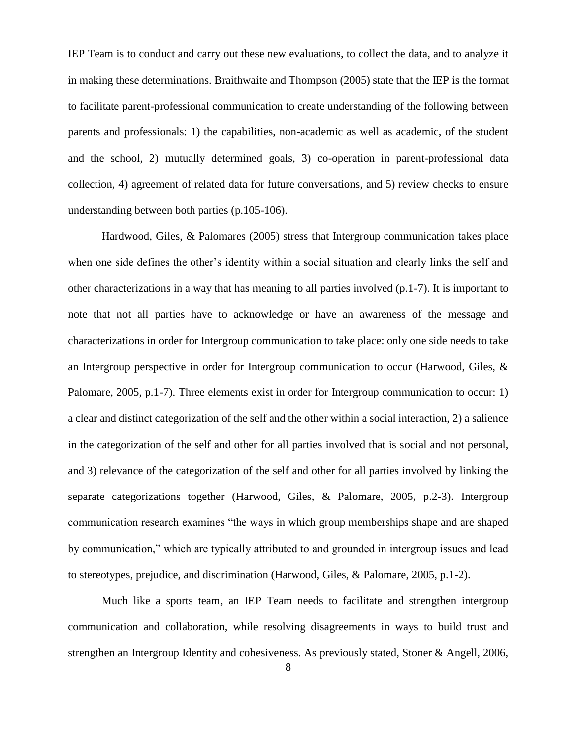IEP Team is to conduct and carry out these new evaluations, to collect the data, and to analyze it in making these determinations. Braithwaite and Thompson (2005) state that the IEP is the format to facilitate parent-professional communication to create understanding of the following between parents and professionals: 1) the capabilities, non-academic as well as academic, of the student and the school, 2) mutually determined goals, 3) co-operation in parent-professional data collection, 4) agreement of related data for future conversations, and 5) review checks to ensure understanding between both parties (p.105-106).

Hardwood, Giles, & Palomares (2005) stress that Intergroup communication takes place when one side defines the other's identity within a social situation and clearly links the self and other characterizations in a way that has meaning to all parties involved (p.1-7). It is important to note that not all parties have to acknowledge or have an awareness of the message and characterizations in order for Intergroup communication to take place: only one side needs to take an Intergroup perspective in order for Intergroup communication to occur (Harwood, Giles, & Palomare, 2005, p.1-7). Three elements exist in order for Intergroup communication to occur: 1) a clear and distinct categorization of the self and the other within a social interaction, 2) a salience in the categorization of the self and other for all parties involved that is social and not personal, and 3) relevance of the categorization of the self and other for all parties involved by linking the separate categorizations together (Harwood, Giles, & Palomare, 2005, p.2-3). Intergroup communication research examines "the ways in which group memberships shape and are shaped by communication," which are typically attributed to and grounded in intergroup issues and lead to stereotypes, prejudice, and discrimination (Harwood, Giles, & Palomare, 2005, p.1-2).

Much like a sports team, an IEP Team needs to facilitate and strengthen intergroup communication and collaboration, while resolving disagreements in ways to build trust and strengthen an Intergroup Identity and cohesiveness. As previously stated, Stoner & Angell, 2006,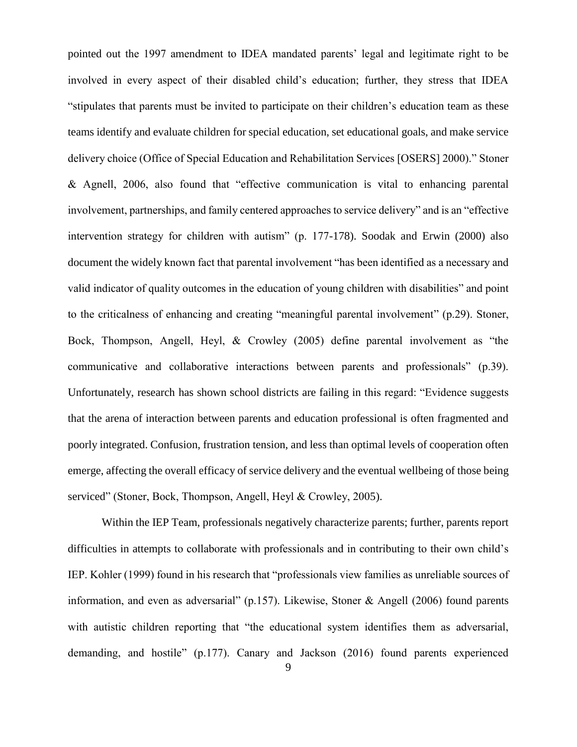pointed out the 1997 amendment to IDEA mandated parents' legal and legitimate right to be involved in every aspect of their disabled child's education; further, they stress that IDEA "stipulates that parents must be invited to participate on their children's education team as these teams identify and evaluate children for special education, set educational goals, and make service delivery choice (Office of Special Education and Rehabilitation Services [OSERS] 2000)." Stoner & Agnell, 2006, also found that "effective communication is vital to enhancing parental involvement, partnerships, and family centered approaches to service delivery" and is an "effective intervention strategy for children with autism" (p. 177-178). Soodak and Erwin (2000) also document the widely known fact that parental involvement "has been identified as a necessary and valid indicator of quality outcomes in the education of young children with disabilities" and point to the criticalness of enhancing and creating "meaningful parental involvement" (p.29). Stoner, Bock, Thompson, Angell, Heyl, & Crowley (2005) define parental involvement as "the communicative and collaborative interactions between parents and professionals" (p.39). Unfortunately, research has shown school districts are failing in this regard: "Evidence suggests that the arena of interaction between parents and education professional is often fragmented and poorly integrated. Confusion, frustration tension, and less than optimal levels of cooperation often emerge, affecting the overall efficacy of service delivery and the eventual wellbeing of those being serviced" (Stoner, Bock, Thompson, Angell, Heyl & Crowley, 2005).

Within the IEP Team, professionals negatively characterize parents; further, parents report difficulties in attempts to collaborate with professionals and in contributing to their own child's IEP. Kohler (1999) found in his research that "professionals view families as unreliable sources of information, and even as adversarial" (p.157). Likewise, Stoner & Angell (2006) found parents with autistic children reporting that "the educational system identifies them as adversarial, demanding, and hostile" (p.177). Canary and Jackson (2016) found parents experienced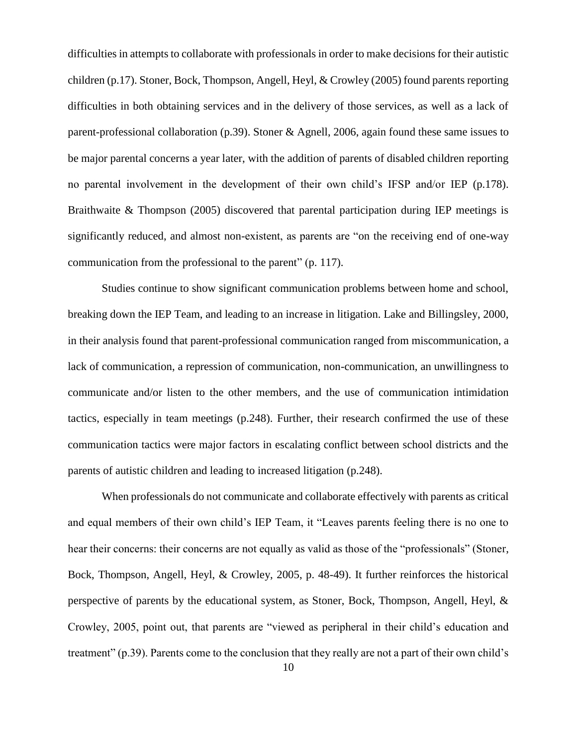difficulties in attempts to collaborate with professionals in order to make decisions for their autistic children (p.17). Stoner, Bock, Thompson, Angell, Heyl, & Crowley (2005) found parents reporting difficulties in both obtaining services and in the delivery of those services, as well as a lack of parent-professional collaboration (p.39). Stoner & Agnell, 2006, again found these same issues to be major parental concerns a year later, with the addition of parents of disabled children reporting no parental involvement in the development of their own child's IFSP and/or IEP (p.178). Braithwaite & Thompson (2005) discovered that parental participation during IEP meetings is significantly reduced, and almost non-existent, as parents are "on the receiving end of one-way communication from the professional to the parent" (p. 117).

Studies continue to show significant communication problems between home and school, breaking down the IEP Team, and leading to an increase in litigation. Lake and Billingsley, 2000, in their analysis found that parent-professional communication ranged from miscommunication, a lack of communication, a repression of communication, non-communication, an unwillingness to communicate and/or listen to the other members, and the use of communication intimidation tactics, especially in team meetings (p.248). Further, their research confirmed the use of these communication tactics were major factors in escalating conflict between school districts and the parents of autistic children and leading to increased litigation (p.248).

When professionals do not communicate and collaborate effectively with parents as critical and equal members of their own child's IEP Team, it "Leaves parents feeling there is no one to hear their concerns: their concerns are not equally as valid as those of the "professionals" (Stoner, Bock, Thompson, Angell, Heyl, & Crowley, 2005, p. 48-49). It further reinforces the historical perspective of parents by the educational system, as Stoner, Bock, Thompson, Angell, Heyl, & Crowley, 2005, point out, that parents are "viewed as peripheral in their child's education and treatment" (p.39). Parents come to the conclusion that they really are not a part of their own child's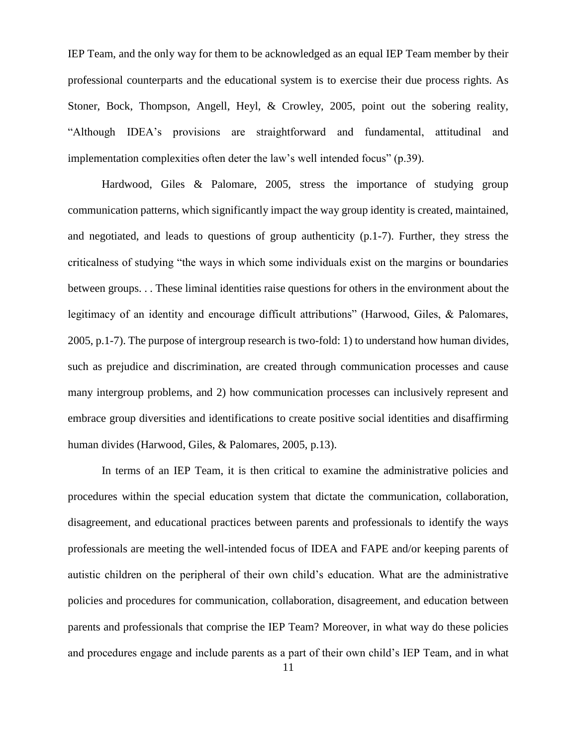IEP Team, and the only way for them to be acknowledged as an equal IEP Team member by their professional counterparts and the educational system is to exercise their due process rights. As Stoner, Bock, Thompson, Angell, Heyl, & Crowley, 2005, point out the sobering reality, "Although IDEA's provisions are straightforward and fundamental, attitudinal and implementation complexities often deter the law's well intended focus" (p.39).

Hardwood, Giles & Palomare, 2005, stress the importance of studying group communication patterns, which significantly impact the way group identity is created, maintained, and negotiated, and leads to questions of group authenticity (p.1-7). Further, they stress the criticalness of studying "the ways in which some individuals exist on the margins or boundaries between groups. . . These liminal identities raise questions for others in the environment about the legitimacy of an identity and encourage difficult attributions" (Harwood, Giles, & Palomares, 2005, p.1-7). The purpose of intergroup research is two-fold: 1) to understand how human divides, such as prejudice and discrimination, are created through communication processes and cause many intergroup problems, and 2) how communication processes can inclusively represent and embrace group diversities and identifications to create positive social identities and disaffirming human divides (Harwood, Giles, & Palomares, 2005, p.13).

In terms of an IEP Team, it is then critical to examine the administrative policies and procedures within the special education system that dictate the communication, collaboration, disagreement, and educational practices between parents and professionals to identify the ways professionals are meeting the well-intended focus of IDEA and FAPE and/or keeping parents of autistic children on the peripheral of their own child's education. What are the administrative policies and procedures for communication, collaboration, disagreement, and education between parents and professionals that comprise the IEP Team? Moreover, in what way do these policies and procedures engage and include parents as a part of their own child's IEP Team, and in what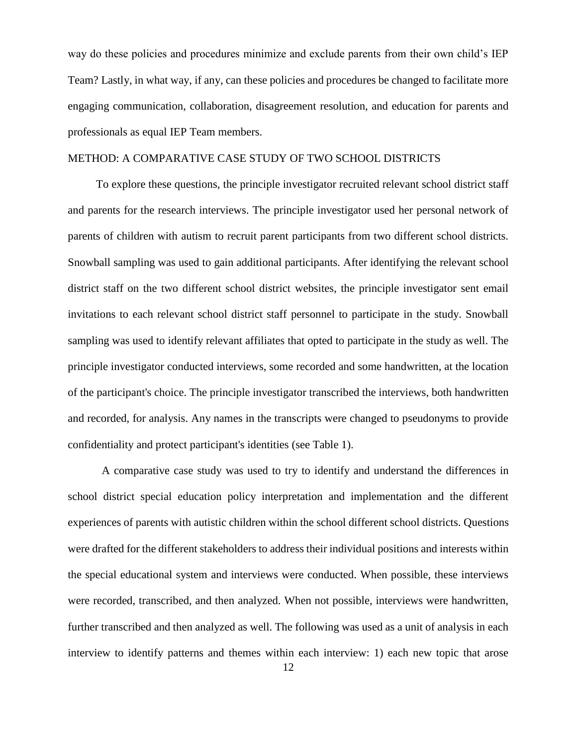way do these policies and procedures minimize and exclude parents from their own child's IEP Team? Lastly, in what way, if any, can these policies and procedures be changed to facilitate more engaging communication, collaboration, disagreement resolution, and education for parents and professionals as equal IEP Team members.

# METHOD: A COMPARATIVE CASE STUDY OF TWO SCHOOL DISTRICTS

To explore these questions, the principle investigator recruited relevant school district staff and parents for the research interviews. The principle investigator used her personal network of parents of children with autism to recruit parent participants from two different school districts. Snowball sampling was used to gain additional participants. After identifying the relevant school district staff on the two different school district websites, the principle investigator sent email invitations to each relevant school district staff personnel to participate in the study. Snowball sampling was used to identify relevant affiliates that opted to participate in the study as well. The principle investigator conducted interviews, some recorded and some handwritten, at the location of the participant's choice. The principle investigator transcribed the interviews, both handwritten and recorded, for analysis. Any names in the transcripts were changed to pseudonyms to provide confidentiality and protect participant's identities (see Table 1).

A comparative case study was used to try to identify and understand the differences in school district special education policy interpretation and implementation and the different experiences of parents with autistic children within the school different school districts. Questions were drafted for the different stakeholders to address their individual positions and interests within the special educational system and interviews were conducted. When possible, these interviews were recorded, transcribed, and then analyzed. When not possible, interviews were handwritten, further transcribed and then analyzed as well. The following was used as a unit of analysis in each interview to identify patterns and themes within each interview: 1) each new topic that arose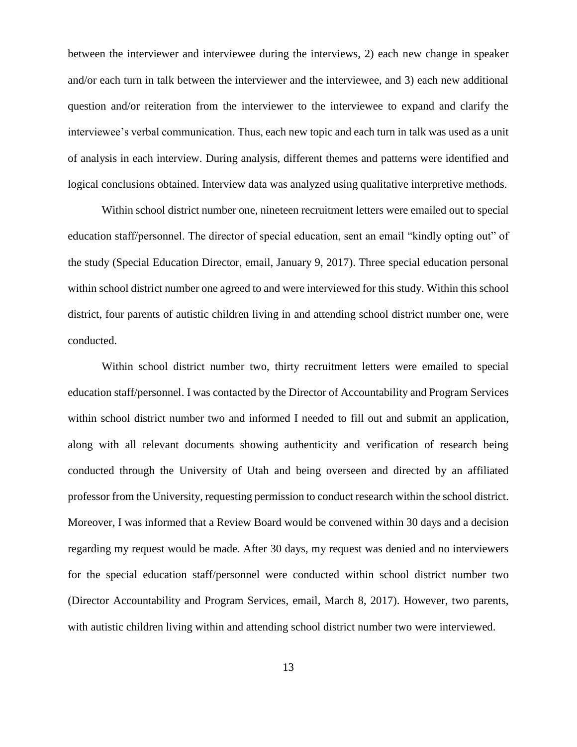between the interviewer and interviewee during the interviews, 2) each new change in speaker and/or each turn in talk between the interviewer and the interviewee, and 3) each new additional question and/or reiteration from the interviewer to the interviewee to expand and clarify the interviewee's verbal communication. Thus, each new topic and each turn in talk was used as a unit of analysis in each interview. During analysis, different themes and patterns were identified and logical conclusions obtained. Interview data was analyzed using qualitative interpretive methods.

Within school district number one, nineteen recruitment letters were emailed out to special education staff/personnel. The director of special education, sent an email "kindly opting out" of the study (Special Education Director, email, January 9, 2017). Three special education personal within school district number one agreed to and were interviewed for this study. Within this school district, four parents of autistic children living in and attending school district number one, were conducted.

Within school district number two, thirty recruitment letters were emailed to special education staff/personnel. I was contacted by the Director of Accountability and Program Services within school district number two and informed I needed to fill out and submit an application, along with all relevant documents showing authenticity and verification of research being conducted through the University of Utah and being overseen and directed by an affiliated professor from the University, requesting permission to conduct research within the school district. Moreover, I was informed that a Review Board would be convened within 30 days and a decision regarding my request would be made. After 30 days, my request was denied and no interviewers for the special education staff/personnel were conducted within school district number two (Director Accountability and Program Services, email, March 8, 2017). However, two parents, with autistic children living within and attending school district number two were interviewed.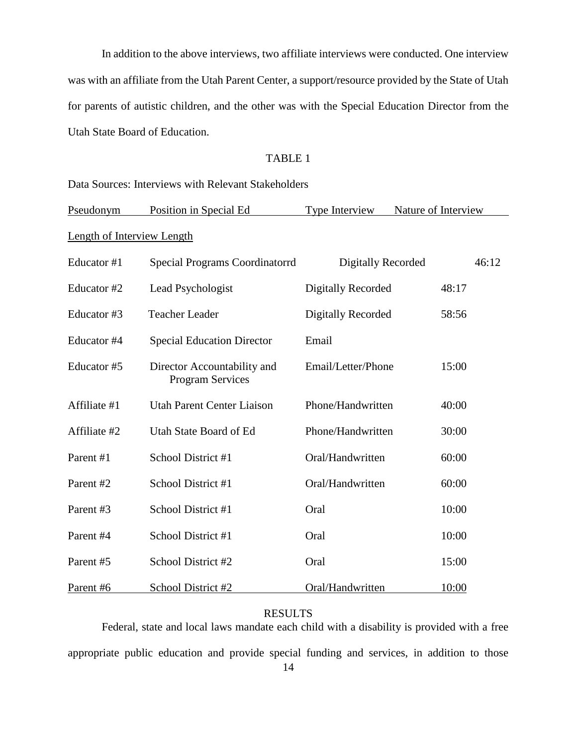In addition to the above interviews, two affiliate interviews were conducted. One interview was with an affiliate from the Utah Parent Center, a support/resource provided by the State of Utah for parents of autistic children, and the other was with the Special Education Director from the Utah State Board of Education.

## TABLE 1

Data Sources: Interviews with Relevant Stakeholders

| Pseudonym                         | Position in Special Ed                                 | Type Interview            | Nature of Interview |  |  |
|-----------------------------------|--------------------------------------------------------|---------------------------|---------------------|--|--|
| <b>Length of Interview Length</b> |                                                        |                           |                     |  |  |
| Educator #1                       | <b>Special Programs Coordinatorrd</b>                  | <b>Digitally Recorded</b> | 46:12               |  |  |
| Educator #2                       | Lead Psychologist                                      | Digitally Recorded        | 48:17               |  |  |
| Educator #3                       | <b>Teacher Leader</b>                                  | <b>Digitally Recorded</b> | 58:56               |  |  |
| Educator #4                       | <b>Special Education Director</b>                      | Email                     |                     |  |  |
| Educator #5                       | Director Accountability and<br><b>Program Services</b> | Email/Letter/Phone        | 15:00               |  |  |
| Affiliate #1                      | <b>Utah Parent Center Liaison</b>                      | Phone/Handwritten         | 40:00               |  |  |
| Affiliate #2                      | Utah State Board of Ed                                 | Phone/Handwritten         | 30:00               |  |  |
| Parent #1                         | School District #1                                     | Oral/Handwritten          | 60:00               |  |  |
| Parent #2                         | School District #1                                     | Oral/Handwritten          | 60:00               |  |  |
| Parent #3                         | School District #1                                     | Oral                      | 10:00               |  |  |
| Parent #4                         | School District #1                                     | Oral                      | 10:00               |  |  |
| Parent #5                         | School District #2                                     | Oral                      | 15:00               |  |  |
| Parent #6                         | School District #2                                     | Oral/Handwritten          | 10:00               |  |  |

# RESULTS

Federal, state and local laws mandate each child with a disability is provided with a free appropriate public education and provide special funding and services, in addition to those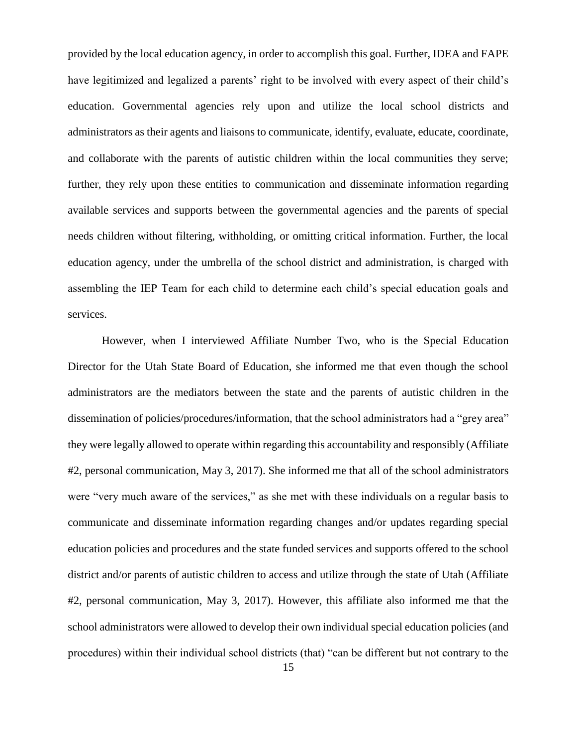provided by the local education agency, in order to accomplish this goal. Further, IDEA and FAPE have legitimized and legalized a parents' right to be involved with every aspect of their child's education. Governmental agencies rely upon and utilize the local school districts and administrators as their agents and liaisons to communicate, identify, evaluate, educate, coordinate, and collaborate with the parents of autistic children within the local communities they serve; further, they rely upon these entities to communication and disseminate information regarding available services and supports between the governmental agencies and the parents of special needs children without filtering, withholding, or omitting critical information. Further, the local education agency, under the umbrella of the school district and administration, is charged with assembling the IEP Team for each child to determine each child's special education goals and services.

However, when I interviewed Affiliate Number Two, who is the Special Education Director for the Utah State Board of Education, she informed me that even though the school administrators are the mediators between the state and the parents of autistic children in the dissemination of policies/procedures/information, that the school administrators had a "grey area" they were legally allowed to operate within regarding this accountability and responsibly (Affiliate #2, personal communication, May 3, 2017). She informed me that all of the school administrators were "very much aware of the services," as she met with these individuals on a regular basis to communicate and disseminate information regarding changes and/or updates regarding special education policies and procedures and the state funded services and supports offered to the school district and/or parents of autistic children to access and utilize through the state of Utah (Affiliate #2, personal communication, May 3, 2017). However, this affiliate also informed me that the school administrators were allowed to develop their own individual special education policies (and procedures) within their individual school districts (that) "can be different but not contrary to the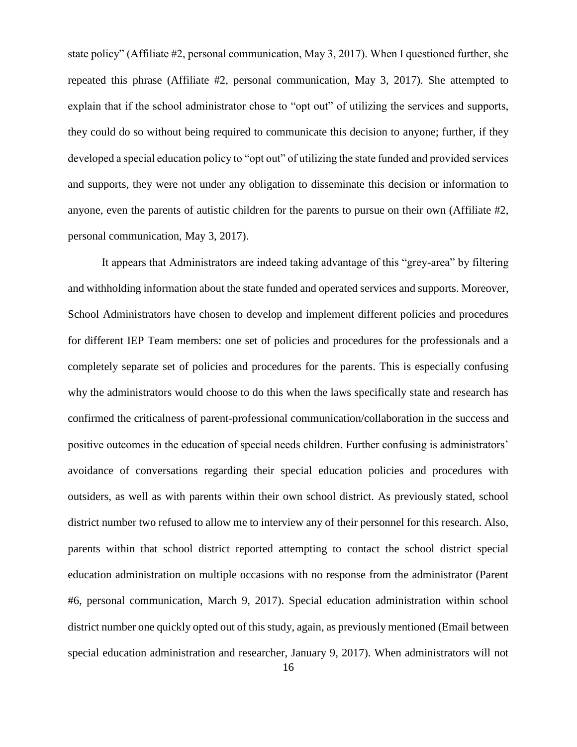state policy" (Affiliate #2, personal communication, May 3, 2017). When I questioned further, she repeated this phrase (Affiliate #2, personal communication, May 3, 2017). She attempted to explain that if the school administrator chose to "opt out" of utilizing the services and supports, they could do so without being required to communicate this decision to anyone; further, if they developed a special education policy to "opt out" of utilizing the state funded and provided services and supports, they were not under any obligation to disseminate this decision or information to anyone, even the parents of autistic children for the parents to pursue on their own (Affiliate #2, personal communication, May 3, 2017).

It appears that Administrators are indeed taking advantage of this "grey-area" by filtering and withholding information about the state funded and operated services and supports. Moreover, School Administrators have chosen to develop and implement different policies and procedures for different IEP Team members: one set of policies and procedures for the professionals and a completely separate set of policies and procedures for the parents. This is especially confusing why the administrators would choose to do this when the laws specifically state and research has confirmed the criticalness of parent-professional communication/collaboration in the success and positive outcomes in the education of special needs children. Further confusing is administrators' avoidance of conversations regarding their special education policies and procedures with outsiders, as well as with parents within their own school district. As previously stated, school district number two refused to allow me to interview any of their personnel for this research. Also, parents within that school district reported attempting to contact the school district special education administration on multiple occasions with no response from the administrator (Parent #6, personal communication, March 9, 2017). Special education administration within school district number one quickly opted out of this study, again, as previously mentioned (Email between special education administration and researcher, January 9, 2017). When administrators will not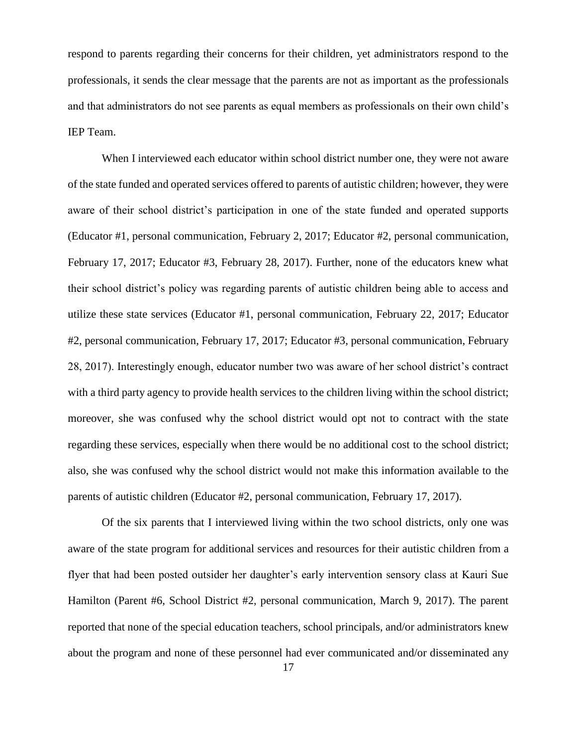respond to parents regarding their concerns for their children, yet administrators respond to the professionals, it sends the clear message that the parents are not as important as the professionals and that administrators do not see parents as equal members as professionals on their own child's IEP Team.

When I interviewed each educator within school district number one, they were not aware of the state funded and operated services offered to parents of autistic children; however, they were aware of their school district's participation in one of the state funded and operated supports (Educator #1, personal communication, February 2, 2017; Educator #2, personal communication, February 17, 2017; Educator #3, February 28, 2017). Further, none of the educators knew what their school district's policy was regarding parents of autistic children being able to access and utilize these state services (Educator #1, personal communication, February 22, 2017; Educator #2, personal communication, February 17, 2017; Educator #3, personal communication, February 28, 2017). Interestingly enough, educator number two was aware of her school district's contract with a third party agency to provide health services to the children living within the school district; moreover, she was confused why the school district would opt not to contract with the state regarding these services, especially when there would be no additional cost to the school district; also, she was confused why the school district would not make this information available to the parents of autistic children (Educator #2, personal communication, February 17, 2017).

Of the six parents that I interviewed living within the two school districts, only one was aware of the state program for additional services and resources for their autistic children from a flyer that had been posted outsider her daughter's early intervention sensory class at Kauri Sue Hamilton (Parent #6, School District #2, personal communication, March 9, 2017). The parent reported that none of the special education teachers, school principals, and/or administrators knew about the program and none of these personnel had ever communicated and/or disseminated any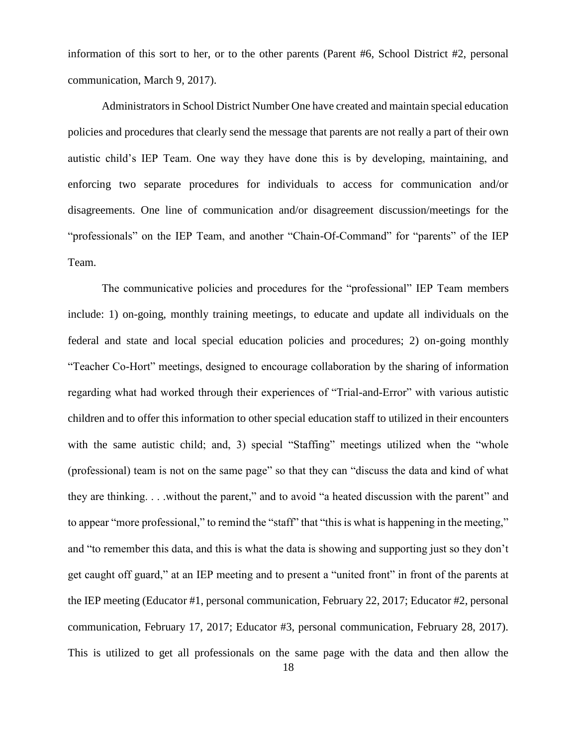information of this sort to her, or to the other parents (Parent #6, School District #2, personal communication, March 9, 2017).

Administrators in School District Number One have created and maintain special education policies and procedures that clearly send the message that parents are not really a part of their own autistic child's IEP Team. One way they have done this is by developing, maintaining, and enforcing two separate procedures for individuals to access for communication and/or disagreements. One line of communication and/or disagreement discussion/meetings for the "professionals" on the IEP Team, and another "Chain-Of-Command" for "parents" of the IEP Team.

The communicative policies and procedures for the "professional" IEP Team members include: 1) on-going, monthly training meetings, to educate and update all individuals on the federal and state and local special education policies and procedures; 2) on-going monthly "Teacher Co-Hort" meetings, designed to encourage collaboration by the sharing of information regarding what had worked through their experiences of "Trial-and-Error" with various autistic children and to offer this information to other special education staff to utilized in their encounters with the same autistic child; and, 3) special "Staffing" meetings utilized when the "whole (professional) team is not on the same page" so that they can "discuss the data and kind of what they are thinking. . . .without the parent," and to avoid "a heated discussion with the parent" and to appear "more professional," to remind the "staff" that "this is what is happening in the meeting," and "to remember this data, and this is what the data is showing and supporting just so they don't get caught off guard," at an IEP meeting and to present a "united front" in front of the parents at the IEP meeting (Educator #1, personal communication, February 22, 2017; Educator #2, personal communication, February 17, 2017; Educator #3, personal communication, February 28, 2017). This is utilized to get all professionals on the same page with the data and then allow the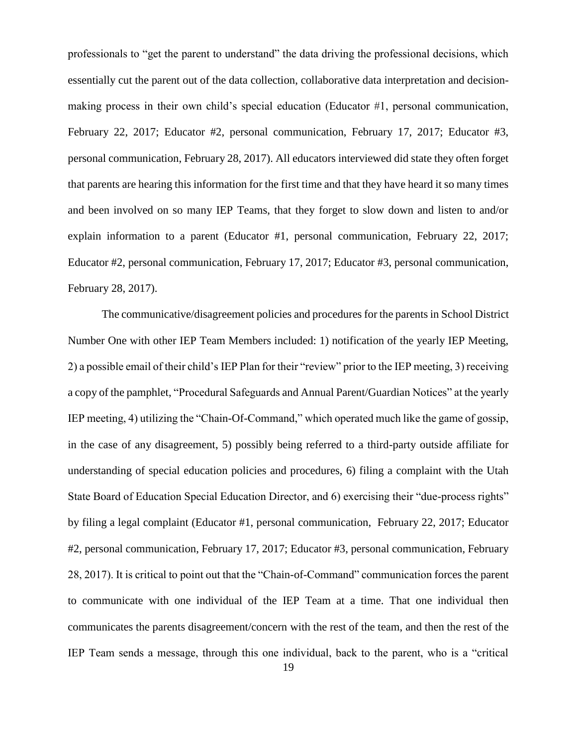professionals to "get the parent to understand" the data driving the professional decisions, which essentially cut the parent out of the data collection, collaborative data interpretation and decisionmaking process in their own child's special education (Educator #1, personal communication, February 22, 2017; Educator #2, personal communication, February 17, 2017; Educator #3, personal communication, February 28, 2017). All educators interviewed did state they often forget that parents are hearing this information for the first time and that they have heard it so many times and been involved on so many IEP Teams, that they forget to slow down and listen to and/or explain information to a parent (Educator #1, personal communication, February 22, 2017; Educator #2, personal communication, February 17, 2017; Educator #3, personal communication, February 28, 2017).

The communicative/disagreement policies and procedures for the parents in School District Number One with other IEP Team Members included: 1) notification of the yearly IEP Meeting, 2) a possible email of their child's IEP Plan for their "review" prior to the IEP meeting, 3) receiving a copy of the pamphlet, "Procedural Safeguards and Annual Parent/Guardian Notices" at the yearly IEP meeting, 4) utilizing the "Chain-Of-Command," which operated much like the game of gossip, in the case of any disagreement, 5) possibly being referred to a third-party outside affiliate for understanding of special education policies and procedures, 6) filing a complaint with the Utah State Board of Education Special Education Director, and 6) exercising their "due-process rights" by filing a legal complaint (Educator #1, personal communication, February 22, 2017; Educator #2, personal communication, February 17, 2017; Educator #3, personal communication, February 28, 2017). It is critical to point out that the "Chain-of-Command" communication forces the parent to communicate with one individual of the IEP Team at a time. That one individual then communicates the parents disagreement/concern with the rest of the team, and then the rest of the IEP Team sends a message, through this one individual, back to the parent, who is a "critical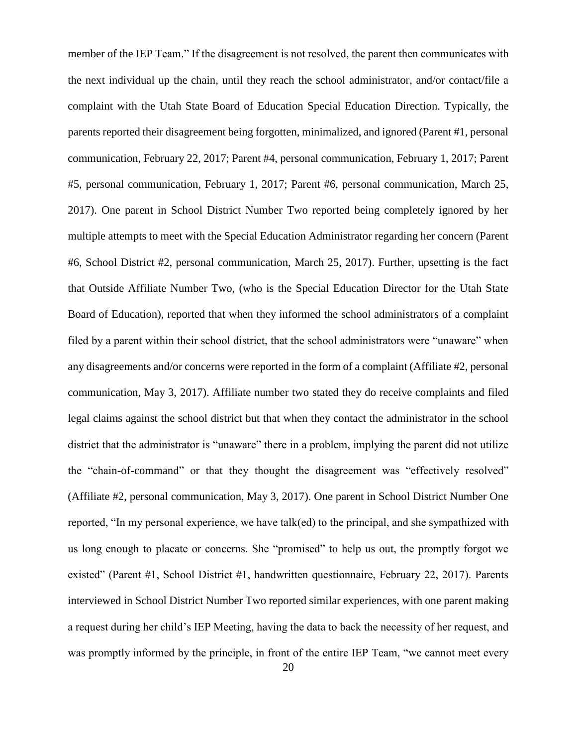member of the IEP Team." If the disagreement is not resolved, the parent then communicates with the next individual up the chain, until they reach the school administrator, and/or contact/file a complaint with the Utah State Board of Education Special Education Direction. Typically, the parents reported their disagreement being forgotten, minimalized, and ignored (Parent #1, personal communication, February 22, 2017; Parent #4, personal communication, February 1, 2017; Parent #5, personal communication, February 1, 2017; Parent #6, personal communication, March 25, 2017). One parent in School District Number Two reported being completely ignored by her multiple attempts to meet with the Special Education Administrator regarding her concern (Parent #6, School District #2, personal communication, March 25, 2017). Further, upsetting is the fact that Outside Affiliate Number Two, (who is the Special Education Director for the Utah State Board of Education), reported that when they informed the school administrators of a complaint filed by a parent within their school district, that the school administrators were "unaware" when any disagreements and/or concerns were reported in the form of a complaint (Affiliate #2, personal communication, May 3, 2017). Affiliate number two stated they do receive complaints and filed legal claims against the school district but that when they contact the administrator in the school district that the administrator is "unaware" there in a problem, implying the parent did not utilize the "chain-of-command" or that they thought the disagreement was "effectively resolved" (Affiliate #2, personal communication, May 3, 2017). One parent in School District Number One reported, "In my personal experience, we have talk(ed) to the principal, and she sympathized with us long enough to placate or concerns. She "promised" to help us out, the promptly forgot we existed" (Parent #1, School District #1, handwritten questionnaire, February 22, 2017). Parents interviewed in School District Number Two reported similar experiences, with one parent making a request during her child's IEP Meeting, having the data to back the necessity of her request, and was promptly informed by the principle, in front of the entire IEP Team, "we cannot meet every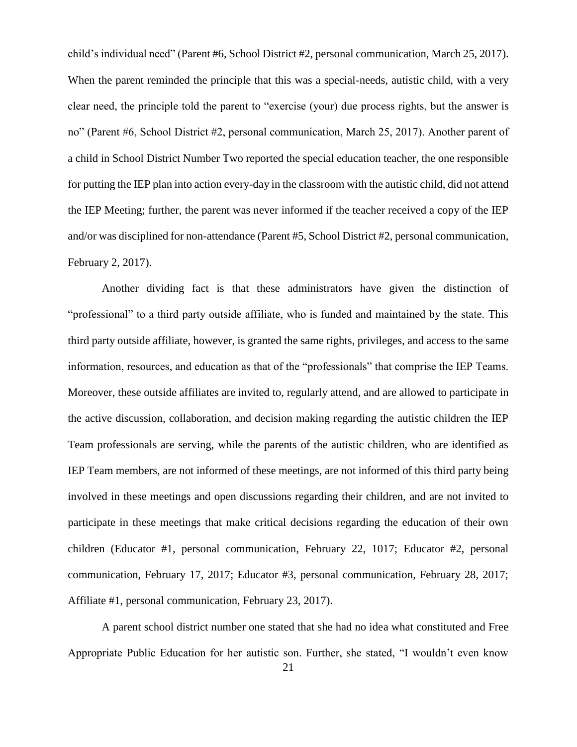child's individual need" (Parent #6, School District #2, personal communication, March 25, 2017). When the parent reminded the principle that this was a special-needs, autistic child, with a very clear need, the principle told the parent to "exercise (your) due process rights, but the answer is no" (Parent #6, School District #2, personal communication, March 25, 2017). Another parent of a child in School District Number Two reported the special education teacher, the one responsible for putting the IEP plan into action every-day in the classroom with the autistic child, did not attend the IEP Meeting; further, the parent was never informed if the teacher received a copy of the IEP and/or was disciplined for non-attendance (Parent #5, School District #2, personal communication, February 2, 2017).

Another dividing fact is that these administrators have given the distinction of "professional" to a third party outside affiliate, who is funded and maintained by the state. This third party outside affiliate, however, is granted the same rights, privileges, and access to the same information, resources, and education as that of the "professionals" that comprise the IEP Teams. Moreover, these outside affiliates are invited to, regularly attend, and are allowed to participate in the active discussion, collaboration, and decision making regarding the autistic children the IEP Team professionals are serving, while the parents of the autistic children, who are identified as IEP Team members, are not informed of these meetings, are not informed of this third party being involved in these meetings and open discussions regarding their children, and are not invited to participate in these meetings that make critical decisions regarding the education of their own children (Educator #1, personal communication, February 22, 1017; Educator #2, personal communication, February 17, 2017; Educator #3, personal communication, February 28, 2017; Affiliate #1, personal communication, February 23, 2017).

A parent school district number one stated that she had no idea what constituted and Free Appropriate Public Education for her autistic son. Further, she stated, "I wouldn't even know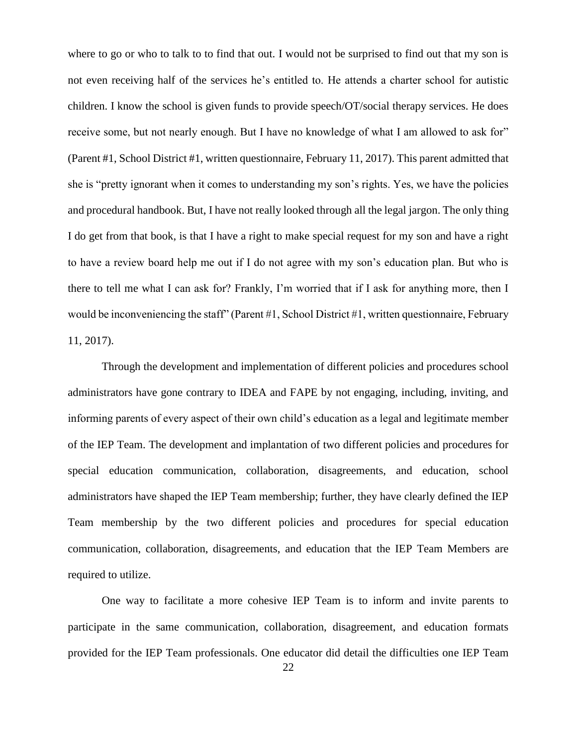where to go or who to talk to to find that out. I would not be surprised to find out that my son is not even receiving half of the services he's entitled to. He attends a charter school for autistic children. I know the school is given funds to provide speech/OT/social therapy services. He does receive some, but not nearly enough. But I have no knowledge of what I am allowed to ask for" (Parent #1, School District #1, written questionnaire, February 11, 2017). This parent admitted that she is "pretty ignorant when it comes to understanding my son's rights. Yes, we have the policies and procedural handbook. But, I have not really looked through all the legal jargon. The only thing I do get from that book, is that I have a right to make special request for my son and have a right to have a review board help me out if I do not agree with my son's education plan. But who is there to tell me what I can ask for? Frankly, I'm worried that if I ask for anything more, then I would be inconveniencing the staff" (Parent #1, School District #1, written questionnaire, February 11, 2017).

Through the development and implementation of different policies and procedures school administrators have gone contrary to IDEA and FAPE by not engaging, including, inviting, and informing parents of every aspect of their own child's education as a legal and legitimate member of the IEP Team. The development and implantation of two different policies and procedures for special education communication, collaboration, disagreements, and education, school administrators have shaped the IEP Team membership; further, they have clearly defined the IEP Team membership by the two different policies and procedures for special education communication, collaboration, disagreements, and education that the IEP Team Members are required to utilize.

One way to facilitate a more cohesive IEP Team is to inform and invite parents to participate in the same communication, collaboration, disagreement, and education formats provided for the IEP Team professionals. One educator did detail the difficulties one IEP Team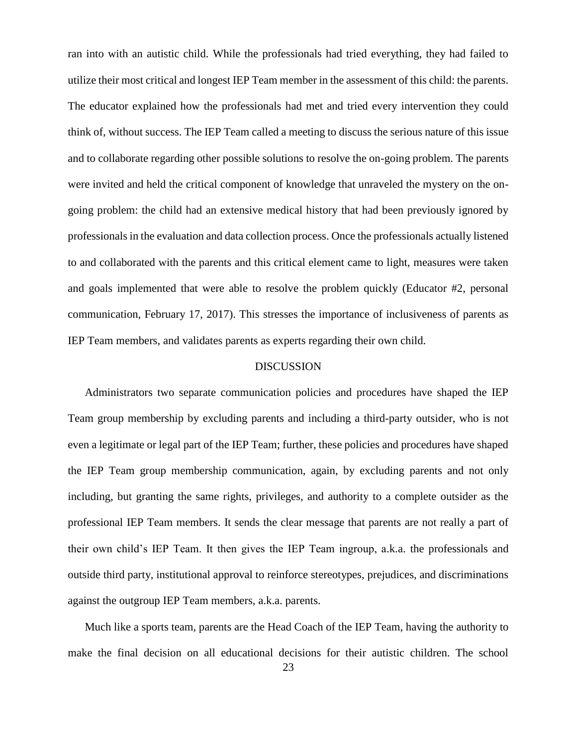ran into with an autistic child. While the professionals had tried everything, they had failed to utilize their most critical and longest IEP Team member in the assessment of this child: the parents. The educator explained how the professionals had met and tried every intervention they could think of, without success. The IEP Team called a meeting to discuss the serious nature of this issue and to collaborate regarding other possible solutions to resolve the on-going problem. The parents were invited and held the critical component of knowledge that unraveled the mystery on the ongoing problem: the child had an extensive medical history that had been previously ignored by professionals in the evaluation and data collection process. Once the professionals actually listened to and collaborated with the parents and this critical element came to light, measures were taken and goals implemented that were able to resolve the problem quickly (Educator #2, personal communication, February 17, 2017). This stresses the importance of inclusiveness of parents as IEP Team members, and validates parents as experts regarding their own child.

## DISCUSSION

Administrators two separate communication policies and procedures have shaped the IEP Team group membership by excluding parents and including a third-party outsider, who is not even a legitimate or legal part of the IEP Team; further, these policies and procedures have shaped the IEP Team group membership communication, again, by excluding parents and not only including, but granting the same rights, privileges, and authority to a complete outsider as the professional IEP Team members. It sends the clear message that parents are not really a part of their own child's IEP Team. It then gives the IEP Team ingroup, a.k.a. the professionals and outside third party, institutional approval to reinforce stereotypes, prejudices, and discriminations against the outgroup IEP Team members, a.k.a. parents.

Much like a sports team, parents are the Head Coach of the IEP Team, having the authority to make the final decision on all educational decisions for their autistic children. The school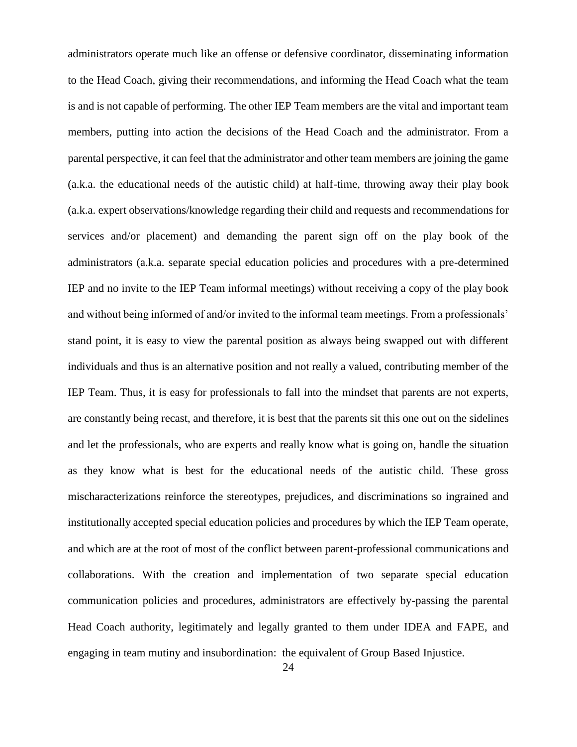administrators operate much like an offense or defensive coordinator, disseminating information to the Head Coach, giving their recommendations, and informing the Head Coach what the team is and is not capable of performing. The other IEP Team members are the vital and important team members, putting into action the decisions of the Head Coach and the administrator. From a parental perspective, it can feel that the administrator and other team members are joining the game (a.k.a. the educational needs of the autistic child) at half-time, throwing away their play book (a.k.a. expert observations/knowledge regarding their child and requests and recommendations for services and/or placement) and demanding the parent sign off on the play book of the administrators (a.k.a. separate special education policies and procedures with a pre-determined IEP and no invite to the IEP Team informal meetings) without receiving a copy of the play book and without being informed of and/or invited to the informal team meetings. From a professionals' stand point, it is easy to view the parental position as always being swapped out with different individuals and thus is an alternative position and not really a valued, contributing member of the IEP Team. Thus, it is easy for professionals to fall into the mindset that parents are not experts, are constantly being recast, and therefore, it is best that the parents sit this one out on the sidelines and let the professionals, who are experts and really know what is going on, handle the situation as they know what is best for the educational needs of the autistic child. These gross mischaracterizations reinforce the stereotypes, prejudices, and discriminations so ingrained and institutionally accepted special education policies and procedures by which the IEP Team operate, and which are at the root of most of the conflict between parent-professional communications and collaborations. With the creation and implementation of two separate special education communication policies and procedures, administrators are effectively by-passing the parental Head Coach authority, legitimately and legally granted to them under IDEA and FAPE, and engaging in team mutiny and insubordination: the equivalent of Group Based Injustice.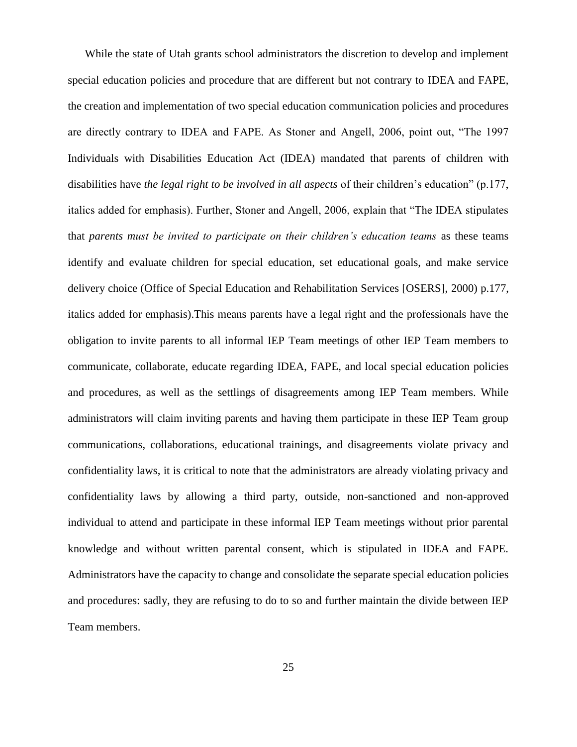While the state of Utah grants school administrators the discretion to develop and implement special education policies and procedure that are different but not contrary to IDEA and FAPE, the creation and implementation of two special education communication policies and procedures are directly contrary to IDEA and FAPE. As Stoner and Angell, 2006, point out, "The 1997 Individuals with Disabilities Education Act (IDEA) mandated that parents of children with disabilities have *the legal right to be involved in all aspects* of their children's education" (p.177, italics added for emphasis). Further, Stoner and Angell, 2006, explain that "The IDEA stipulates that *parents must be invited to participate on their children's education teams* as these teams identify and evaluate children for special education, set educational goals, and make service delivery choice (Office of Special Education and Rehabilitation Services [OSERS], 2000) p.177, italics added for emphasis).This means parents have a legal right and the professionals have the obligation to invite parents to all informal IEP Team meetings of other IEP Team members to communicate, collaborate, educate regarding IDEA, FAPE, and local special education policies and procedures, as well as the settlings of disagreements among IEP Team members. While administrators will claim inviting parents and having them participate in these IEP Team group communications, collaborations, educational trainings, and disagreements violate privacy and confidentiality laws, it is critical to note that the administrators are already violating privacy and confidentiality laws by allowing a third party, outside, non-sanctioned and non-approved individual to attend and participate in these informal IEP Team meetings without prior parental knowledge and without written parental consent, which is stipulated in IDEA and FAPE. Administrators have the capacity to change and consolidate the separate special education policies and procedures: sadly, they are refusing to do to so and further maintain the divide between IEP Team members.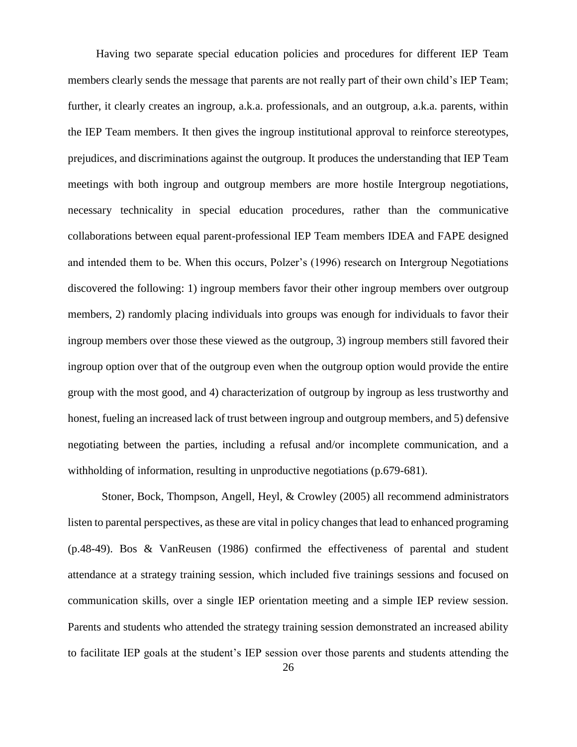Having two separate special education policies and procedures for different IEP Team members clearly sends the message that parents are not really part of their own child's IEP Team; further, it clearly creates an ingroup, a.k.a. professionals, and an outgroup, a.k.a. parents, within the IEP Team members. It then gives the ingroup institutional approval to reinforce stereotypes, prejudices, and discriminations against the outgroup. It produces the understanding that IEP Team meetings with both ingroup and outgroup members are more hostile Intergroup negotiations, necessary technicality in special education procedures, rather than the communicative collaborations between equal parent-professional IEP Team members IDEA and FAPE designed and intended them to be. When this occurs, Polzer's (1996) research on Intergroup Negotiations discovered the following: 1) ingroup members favor their other ingroup members over outgroup members, 2) randomly placing individuals into groups was enough for individuals to favor their ingroup members over those these viewed as the outgroup, 3) ingroup members still favored their ingroup option over that of the outgroup even when the outgroup option would provide the entire group with the most good, and 4) characterization of outgroup by ingroup as less trustworthy and honest, fueling an increased lack of trust between ingroup and outgroup members, and 5) defensive negotiating between the parties, including a refusal and/or incomplete communication, and a withholding of information, resulting in unproductive negotiations (p.679-681).

Stoner, Bock, Thompson, Angell, Heyl, & Crowley (2005) all recommend administrators listen to parental perspectives, as these are vital in policy changes that lead to enhanced programing (p.48-49). Bos & VanReusen (1986) confirmed the effectiveness of parental and student attendance at a strategy training session, which included five trainings sessions and focused on communication skills, over a single IEP orientation meeting and a simple IEP review session. Parents and students who attended the strategy training session demonstrated an increased ability to facilitate IEP goals at the student's IEP session over those parents and students attending the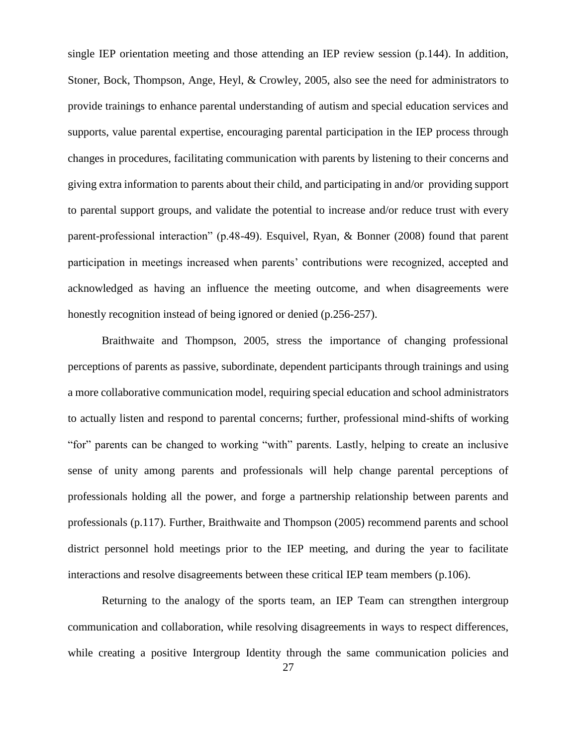single IEP orientation meeting and those attending an IEP review session (p.144). In addition, Stoner, Bock, Thompson, Ange, Heyl, & Crowley, 2005, also see the need for administrators to provide trainings to enhance parental understanding of autism and special education services and supports, value parental expertise, encouraging parental participation in the IEP process through changes in procedures, facilitating communication with parents by listening to their concerns and giving extra information to parents about their child, and participating in and/or providing support to parental support groups, and validate the potential to increase and/or reduce trust with every parent-professional interaction" (p.48-49). Esquivel, Ryan, & Bonner (2008) found that parent participation in meetings increased when parents' contributions were recognized, accepted and acknowledged as having an influence the meeting outcome, and when disagreements were honestly recognition instead of being ignored or denied (p.256-257).

Braithwaite and Thompson, 2005, stress the importance of changing professional perceptions of parents as passive, subordinate, dependent participants through trainings and using a more collaborative communication model, requiring special education and school administrators to actually listen and respond to parental concerns; further, professional mind-shifts of working "for" parents can be changed to working "with" parents. Lastly, helping to create an inclusive sense of unity among parents and professionals will help change parental perceptions of professionals holding all the power, and forge a partnership relationship between parents and professionals (p.117). Further, Braithwaite and Thompson (2005) recommend parents and school district personnel hold meetings prior to the IEP meeting, and during the year to facilitate interactions and resolve disagreements between these critical IEP team members (p.106).

Returning to the analogy of the sports team, an IEP Team can strengthen intergroup communication and collaboration, while resolving disagreements in ways to respect differences, while creating a positive Intergroup Identity through the same communication policies and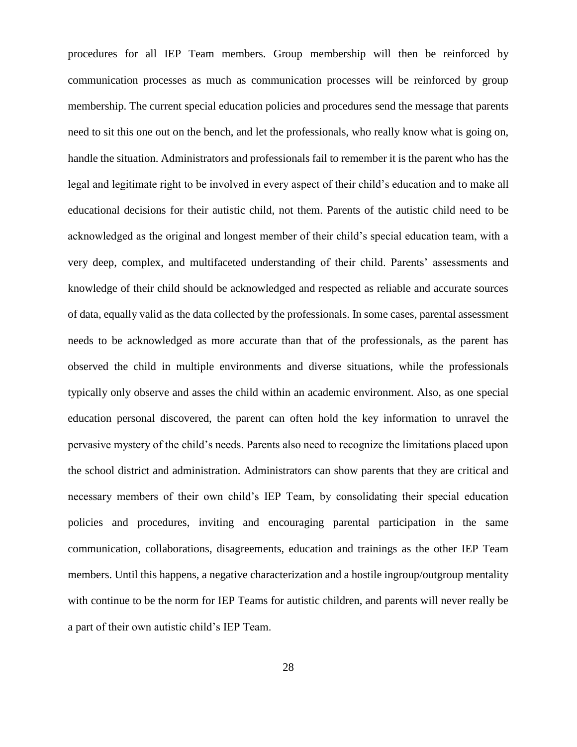procedures for all IEP Team members. Group membership will then be reinforced by communication processes as much as communication processes will be reinforced by group membership. The current special education policies and procedures send the message that parents need to sit this one out on the bench, and let the professionals, who really know what is going on, handle the situation. Administrators and professionals fail to remember it is the parent who has the legal and legitimate right to be involved in every aspect of their child's education and to make all educational decisions for their autistic child, not them. Parents of the autistic child need to be acknowledged as the original and longest member of their child's special education team, with a very deep, complex, and multifaceted understanding of their child. Parents' assessments and knowledge of their child should be acknowledged and respected as reliable and accurate sources of data, equally valid as the data collected by the professionals. In some cases, parental assessment needs to be acknowledged as more accurate than that of the professionals, as the parent has observed the child in multiple environments and diverse situations, while the professionals typically only observe and asses the child within an academic environment. Also, as one special education personal discovered, the parent can often hold the key information to unravel the pervasive mystery of the child's needs. Parents also need to recognize the limitations placed upon the school district and administration. Administrators can show parents that they are critical and necessary members of their own child's IEP Team, by consolidating their special education policies and procedures, inviting and encouraging parental participation in the same communication, collaborations, disagreements, education and trainings as the other IEP Team members. Until this happens, a negative characterization and a hostile ingroup/outgroup mentality with continue to be the norm for IEP Teams for autistic children, and parents will never really be a part of their own autistic child's IEP Team.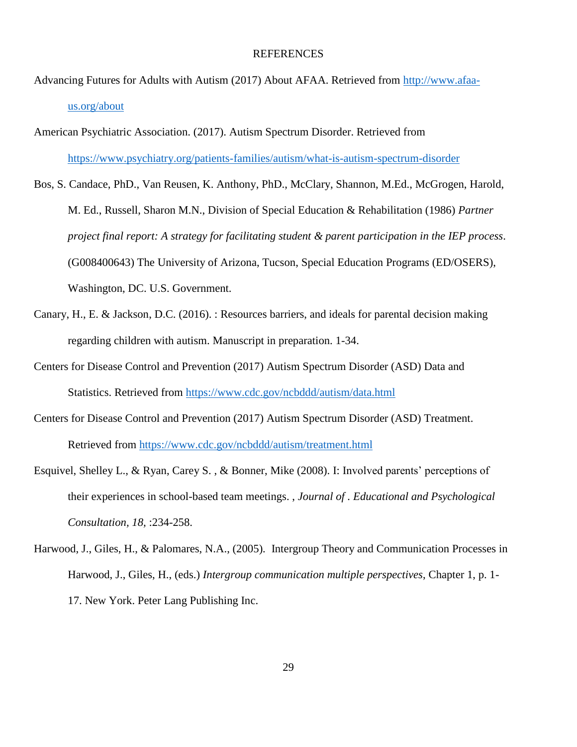### REFERENCES

- Advancing Futures for Adults with Autism (2017) About AFAA. Retrieved from [http://www.afaa](http://www.afaa-us.org/about)[us.org/about](http://www.afaa-us.org/about)
- American Psychiatric Association. (2017). Autism Spectrum Disorder. Retrieved from <https://www.psychiatry.org/patients-families/autism/what-is-autism-spectrum-disorder>
- Bos, S. Candace, PhD., Van Reusen, K. Anthony, PhD., McClary, Shannon, M.Ed., McGrogen, Harold, M. Ed., Russell, Sharon M.N., Division of Special Education & Rehabilitation (1986) *Partner project final report: A strategy for facilitating student & parent participation in the IEP process*. (G008400643) The University of Arizona, Tucson, Special Education Programs (ED/OSERS), Washington, DC. U.S. Government.
- Canary, H., E. & Jackson, D.C. (2016). : Resources barriers, and ideals for parental decision making regarding children with autism. Manuscript in preparation. 1-34.
- Centers for Disease Control and Prevention (2017) Autism Spectrum Disorder (ASD) Data and Statistics. Retrieved from<https://www.cdc.gov/ncbddd/autism/data.html>
- Centers for Disease Control and Prevention (2017) Autism Spectrum Disorder (ASD) Treatment. Retrieved from<https://www.cdc.gov/ncbddd/autism/treatment.html>
- Esquivel, Shelley L., & Ryan, Carey S. , & Bonner, Mike (2008). I: Involved parents' perceptions of their experiences in school-based team meetings. , *Journal of . Educational and Psychological Consultation, 18,* :234-258.
- Harwood, J., Giles, H., & Palomares, N.A., (2005)*.* Intergroup Theory and Communication Processes in Harwood, J., Giles, H., (eds.) *Intergroup communication multiple perspectives*, Chapter 1, p. 1- 17. New York. Peter Lang Publishing Inc.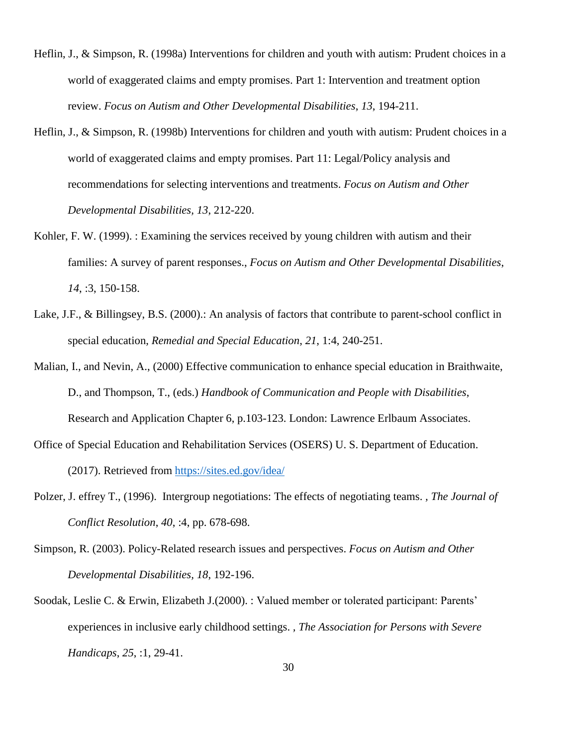- Heflin, J., & Simpson, R. (1998a) Interventions for children and youth with autism: Prudent choices in a world of exaggerated claims and empty promises. Part 1: Intervention and treatment option review. *Focus on Autism and Other Developmental Disabilities*, *13*, 194-211.
- Heflin, J., & Simpson, R. (1998b) Interventions for children and youth with autism: Prudent choices in a world of exaggerated claims and empty promises. Part 11: Legal/Policy analysis and recommendations for selecting interventions and treatments. *Focus on Autism and Other Developmental Disabilities, 13*, 212-220.
- Kohler, F. W. (1999). : Examining the services received by young children with autism and their families: A survey of parent responses., *Focus on Autism and Other Developmental Disabilities*, *14*, :3, 150-158.
- Lake, J.F., & Billingsey, B.S. (2000).: An analysis of factors that contribute to parent-school conflict in special education, *Remedial and Special Education*, *21*, 1:4, 240-251.
- Malian, I., and Nevin, A., (2000) Effective communication to enhance special education in Braithwaite, D., and Thompson, T., (eds.) *Handbook of Communication and People with Disabilities*, Research and Application Chapter 6, p.103-123. London: Lawrence Erlbaum Associates.
- Office of Special Education and Rehabilitation Services (OSERS) U. S. Department of Education. (2017). Retrieved from <https://sites.ed.gov/idea/>
- Polzer, J. effrey T., (1996). Intergroup negotiations: The effects of negotiating teams. *, The Journal of Conflict Resolution*, *40*, :4, pp. 678-698.
- Simpson, R. (2003). Policy-Related research issues and perspectives. *Focus on Autism and Other Developmental Disabilities, 18*, 192-196.
- Soodak, Leslie C. & Erwin, Elizabeth J.(2000). : Valued member or tolerated participant: Parents' experiences in inclusive early childhood settings. *, The Association for Persons with Severe Handicaps*, *25*, :1, 29-41.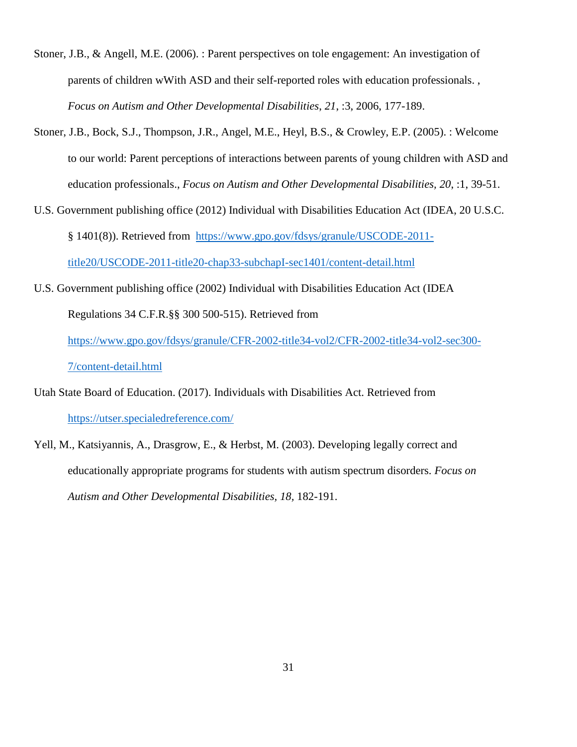- Stoner, J.B., & Angell, M.E. (2006). : Parent perspectives on tole engagement: An investigation of parents of children wWith ASD and their self-reported roles with education professionals. , *Focus on Autism and Other Developmental Disabilities*, *21*, :3, 2006, 177-189.
- Stoner, J.B., Bock, S.J., Thompson, J.R., Angel, M.E., Heyl, B.S., & Crowley, E.P. (2005). : Welcome to our world: Parent perceptions of interactions between parents of young children with ASD and education professionals., *Focus on Autism and Other Developmental Disabilities, 20*, :1, 39-51.
- U.S. Government publishing office (2012) Individual with Disabilities Education Act (IDEA, 20 U.S.C. § 1401(8)). Retrieved from [https://www.gpo.gov/fdsys/granule/USCODE-2011](https://www.gpo.gov/fdsys/granule/USCODE-2011-title20/USCODE-2011-title20-chap33-subchapI-sec1401/content-detail.html) [title20/USCODE-2011-title20-chap33-subchapI-sec1401/content-detail.html](https://www.gpo.gov/fdsys/granule/USCODE-2011-title20/USCODE-2011-title20-chap33-subchapI-sec1401/content-detail.html)
- U.S. Government publishing office (2002) Individual with Disabilities Education Act (IDEA Regulations 34 C.F.R.§§ 300 500-515). Retrieved from

[https://www.gpo.gov/fdsys/granule/CFR-2002-title34-vol2/CFR-2002-title34-vol2-sec300-](https://www.gpo.gov/fdsys/granule/CFR-2002-title34-vol2/CFR-2002-title34-vol2-sec300-7/content-detail.html) [7/content-detail.html](https://www.gpo.gov/fdsys/granule/CFR-2002-title34-vol2/CFR-2002-title34-vol2-sec300-7/content-detail.html)

Utah State Board of Education. (2017). Individuals with Disabilities Act. Retrieved from <https://utser.specialedreference.com/>

Yell, M., Katsiyannis, A., Drasgrow, E., & Herbst, M. (2003). Developing legally correct and educationally appropriate programs for students with autism spectrum disorders. *Focus on Autism and Other Developmental Disabilities, 18,* 182-191.